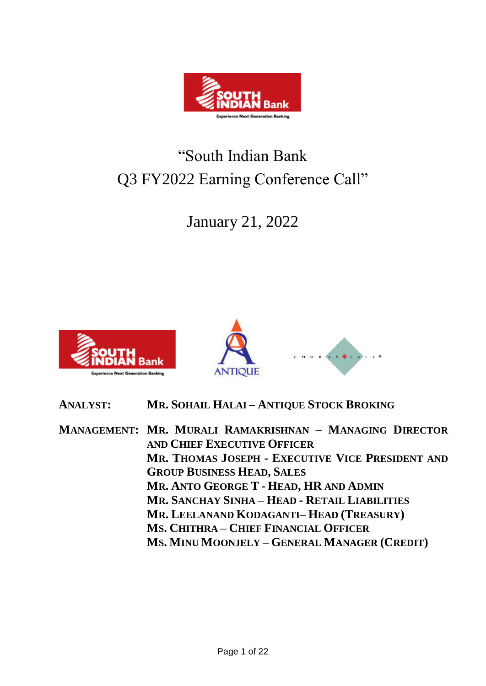

# "South Indian Bank Q3 FY2022 Earning Conference Call"

January 21, 2022





**ANALYST: MR. SOHAIL HALAI – ANTIQUE STOCK BROKING**

**MANAGEMENT: MR. MURALI RAMAKRISHNAN – MANAGING DIRECTOR AND CHIEF EXECUTIVE OFFICER MR. THOMAS JOSEPH - EXECUTIVE VICE PRESIDENT AND GROUP BUSINESS HEAD, SALES MR. ANTO GEORGE T - HEAD, HR AND ADMIN MR. SANCHAY SINHA – HEAD - RETAIL LIABILITIES MR. LEELANAND KODAGANTI– HEAD (TREASURY) MS. CHITHRA – CHIEF FINANCIAL OFFICER MS. MINU MOONJELY – GENERAL MANAGER (CREDIT)**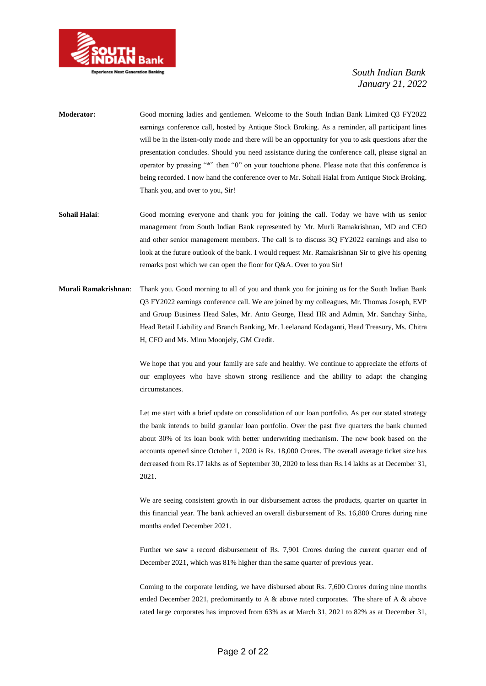

- **Moderator:** Good morning ladies and gentlemen. Welcome to the South Indian Bank Limited Q3 FY2022 earnings conference call, hosted by Antique Stock Broking. As a reminder, all participant lines will be in the listen-only mode and there will be an opportunity for you to ask questions after the presentation concludes. Should you need assistance during the conference call, please signal an operator by pressing "\*" then "0" on your touchtone phone. Please note that this conference is being recorded. I now hand the conference over to Mr. Sohail Halai from Antique Stock Broking. Thank you, and over to you, Sir!
- **Sohail Halai**: Good morning everyone and thank you for joining the call. Today we have with us senior management from South Indian Bank represented by Mr. Murli Ramakrishnan, MD and CEO and other senior management members. The call is to discuss 3Q FY2022 earnings and also to look at the future outlook of the bank. I would request Mr. Ramakrishnan Sir to give his opening remarks post which we can open the floor for Q&A. Over to you Sir!
- **Murali Ramakrishnan**: Thank you. Good morning to all of you and thank you for joining us for the South Indian Bank Q3 FY2022 earnings conference call. We are joined by my colleagues, Mr. Thomas Joseph, EVP and Group Business Head Sales, Mr. Anto George, Head HR and Admin, Mr. Sanchay Sinha, Head Retail Liability and Branch Banking, Mr. Leelanand Kodaganti, Head Treasury, Ms. Chitra H, CFO and Ms. Minu Moonjely, GM Credit.

We hope that you and your family are safe and healthy. We continue to appreciate the efforts of our employees who have shown strong resilience and the ability to adapt the changing circumstances.

Let me start with a brief update on consolidation of our loan portfolio. As per our stated strategy the bank intends to build granular loan portfolio. Over the past five quarters the bank churned about 30% of its loan book with better underwriting mechanism. The new book based on the accounts opened since October 1, 2020 is Rs. 18,000 Crores. The overall average ticket size has decreased from Rs.17 lakhs as of September 30, 2020 to less than Rs.14 lakhs as at December 31, 2021.

We are seeing consistent growth in our disbursement across the products, quarter on quarter in this financial year. The bank achieved an overall disbursement of Rs. 16,800 Crores during nine months ended December 2021.

Further we saw a record disbursement of Rs. 7,901 Crores during the current quarter end of December 2021, which was 81% higher than the same quarter of previous year.

Coming to the corporate lending, we have disbursed about Rs. 7,600 Crores during nine months ended December 2021, predominantly to A & above rated corporates. The share of A & above rated large corporates has improved from 63% as at March 31, 2021 to 82% as at December 31,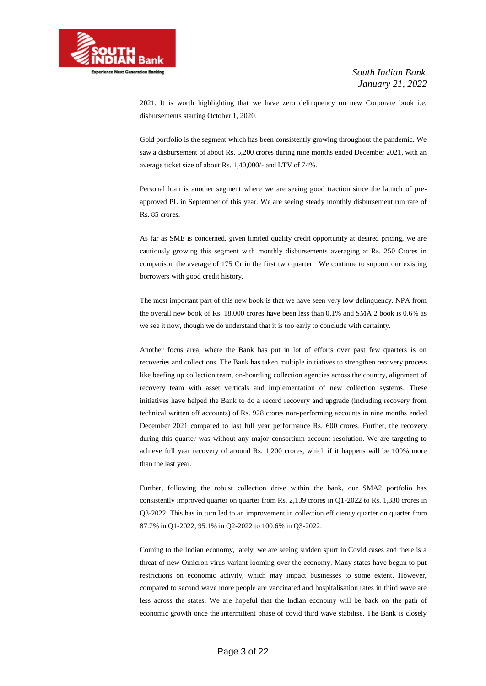

2021. It is worth highlighting that we have zero delinquency on new Corporate book i.e. disbursements starting October 1, 2020.

Gold portfolio is the segment which has been consistently growing throughout the pandemic. We saw a disbursement of about Rs. 5,200 crores during nine months ended December 2021, with an average ticket size of about Rs. 1,40,000/- and LTV of 74%.

Personal loan is another segment where we are seeing good traction since the launch of preapproved PL in September of this year. We are seeing steady monthly disbursement run rate of Rs. 85 crores.

As far as SME is concerned, given limited quality credit opportunity at desired pricing, we are cautiously growing this segment with monthly disbursements averaging at Rs. 250 Crores in comparison the average of 175 Cr in the first two quarter. We continue to support our existing borrowers with good credit history.

The most important part of this new book is that we have seen very low delinquency. NPA from the overall new book of Rs. 18,000 crores have been less than 0.1% and SMA 2 book is 0.6% as we see it now, though we do understand that it is too early to conclude with certainty.

Another focus area, where the Bank has put in lot of efforts over past few quarters is on recoveries and collections. The Bank has taken multiple initiatives to strengthen recovery process like beefing up collection team, on-boarding collection agencies across the country, alignment of recovery team with asset verticals and implementation of new collection systems. These initiatives have helped the Bank to do a record recovery and upgrade (including recovery from technical written off accounts) of Rs. 928 crores non-performing accounts in nine months ended December 2021 compared to last full year performance Rs. 600 crores. Further, the recovery during this quarter was without any major consortium account resolution. We are targeting to achieve full year recovery of around Rs. 1,200 crores, which if it happens will be 100% more than the last year.

Further, following the robust collection drive within the bank, our SMA2 portfolio has consistently improved quarter on quarter from Rs. 2,139 crores in Q1-2022 to Rs. 1,330 crores in Q3-2022. This has in turn led to an improvement in collection efficiency quarter on quarter from 87.7% in Q1-2022, 95.1% in Q2-2022 to 100.6% in Q3-2022.

Coming to the Indian economy, lately, we are seeing sudden spurt in Covid cases and there is a threat of new Omicron virus variant looming over the economy. Many states have begun to put restrictions on economic activity, which may impact businesses to some extent. However, compared to second wave more people are vaccinated and hospitalisation rates in third wave are less across the states. We are hopeful that the Indian economy will be back on the path of economic growth once the intermittent phase of covid third wave stabilise. The Bank is closely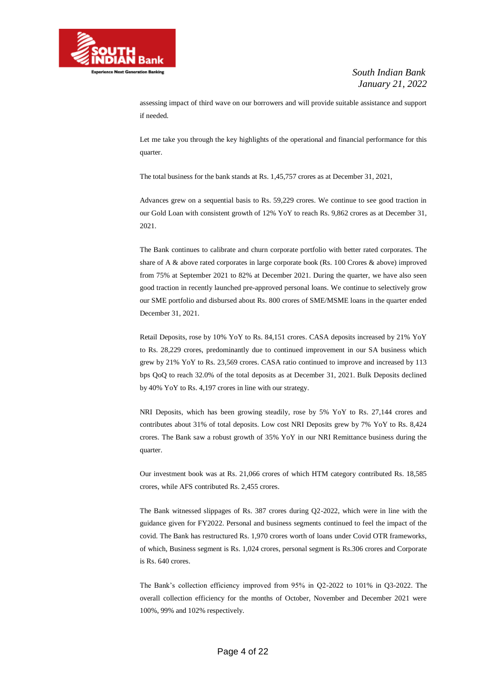

assessing impact of third wave on our borrowers and will provide suitable assistance and support if needed.

Let me take you through the key highlights of the operational and financial performance for this quarter.

The total business for the bank stands at Rs. 1,45,757 crores as at December 31, 2021,

Advances grew on a sequential basis to Rs. 59,229 crores. We continue to see good traction in our Gold Loan with consistent growth of 12% YoY to reach Rs. 9,862 crores as at December 31, 2021.

The Bank continues to calibrate and churn corporate portfolio with better rated corporates. The share of A & above rated corporates in large corporate book (Rs. 100 Crores & above) improved from 75% at September 2021 to 82% at December 2021. During the quarter, we have also seen good traction in recently launched pre-approved personal loans. We continue to selectively grow our SME portfolio and disbursed about Rs. 800 crores of SME/MSME loans in the quarter ended December 31, 2021.

Retail Deposits, rose by 10% YoY to Rs. 84,151 crores. CASA deposits increased by 21% YoY to Rs. 28,229 crores, predominantly due to continued improvement in our SA business which grew by 21% YoY to Rs. 23,569 crores. CASA ratio continued to improve and increased by 113 bps QoQ to reach 32.0% of the total deposits as at December 31, 2021. Bulk Deposits declined by 40% YoY to Rs. 4,197 crores in line with our strategy.

NRI Deposits, which has been growing steadily, rose by 5% YoY to Rs. 27,144 crores and contributes about 31% of total deposits. Low cost NRI Deposits grew by 7% YoY to Rs. 8,424 crores. The Bank saw a robust growth of 35% YoY in our NRI Remittance business during the quarter.

Our investment book was at Rs. 21,066 crores of which HTM category contributed Rs. 18,585 crores, while AFS contributed Rs. 2,455 crores.

The Bank witnessed slippages of Rs. 387 crores during Q2-2022, which were in line with the guidance given for FY2022. Personal and business segments continued to feel the impact of the covid. The Bank has restructured Rs. 1,970 crores worth of loans under Covid OTR frameworks, of which, Business segment is Rs. 1,024 crores, personal segment is Rs.306 crores and Corporate is Rs. 640 crores.

The Bank's collection efficiency improved from 95% in Q2-2022 to 101% in Q3-2022. The overall collection efficiency for the months of October, November and December 2021 were 100%, 99% and 102% respectively.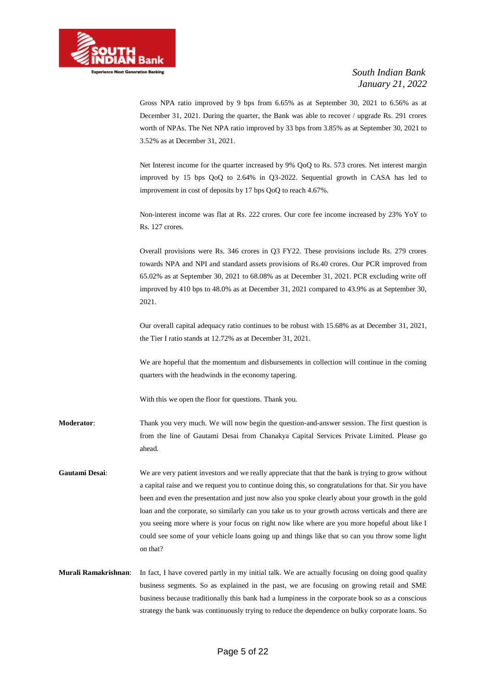

Gross NPA ratio improved by 9 bps from 6.65% as at September 30, 2021 to 6.56% as at December 31, 2021. During the quarter, the Bank was able to recover / upgrade Rs. 291 crores worth of NPAs. The Net NPA ratio improved by 33 bps from 3.85% as at September 30, 2021 to 3.52% as at December 31, 2021.

Net Interest income for the quarter increased by 9% QoQ to Rs. 573 crores. Net interest margin improved by 15 bps QoQ to 2.64% in Q3-2022. Sequential growth in CASA has led to improvement in cost of deposits by 17 bps QoQ to reach 4.67%.

Non-interest income was flat at Rs. 222 crores. Our core fee income increased by 23% YoY to Rs. 127 crores.

Overall provisions were Rs. 346 crores in Q3 FY22. These provisions include Rs. 279 crores towards NPA and NPI and standard assets provisions of Rs.40 crores. Our PCR improved from 65.02% as at September 30, 2021 to 68.08% as at December 31, 2021. PCR excluding write off improved by 410 bps to 48.0% as at December 31, 2021 compared to 43.9% as at September 30, 2021.

Our overall capital adequacy ratio continues to be robust with 15.68% as at December 31, 2021, the Tier I ratio stands at 12.72% as at December 31, 2021.

We are hopeful that the momentum and disbursements in collection will continue in the coming quarters with the headwinds in the economy tapering.

With this we open the floor for questions. Thank you.

**Moderator**: Thank you very much. We will now begin the question-and-answer session. The first question is from the line of Gautami Desai from Chanakya Capital Services Private Limited. Please go ahead.

**Gautami Desai**: We are very patient investors and we really appreciate that that the bank is trying to grow without a capital raise and we request you to continue doing this, so congratulations for that. Sir you have been and even the presentation and just now also you spoke clearly about your growth in the gold loan and the corporate, so similarly can you take us to your growth across verticals and there are you seeing more where is your focus on right now like where are you more hopeful about like I could see some of your vehicle loans going up and things like that so can you throw some light on that?

**Murali Ramakrishnan**: In fact, I have covered partly in my initial talk. We are actually focusing on doing good quality business segments. So as explained in the past, we are focusing on growing retail and SME business because traditionally this bank had a lumpiness in the corporate book so as a conscious strategy the bank was continuously trying to reduce the dependence on bulky corporate loans. So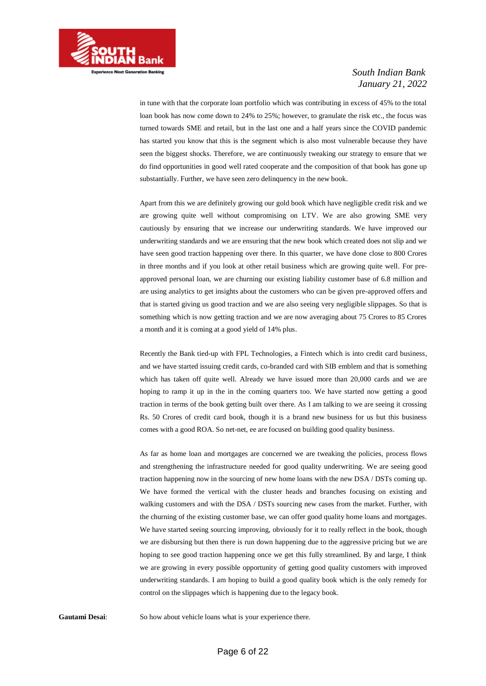

in tune with that the corporate loan portfolio which was contributing in excess of 45% to the total loan book has now come down to 24% to 25%; however, to granulate the risk etc., the focus was turned towards SME and retail, but in the last one and a half years since the COVID pandemic has started you know that this is the segment which is also most vulnerable because they have seen the biggest shocks. Therefore, we are continuously tweaking our strategy to ensure that we do find opportunities in good well rated cooperate and the composition of that book has gone up substantially. Further, we have seen zero delinquency in the new book.

Apart from this we are definitely growing our gold book which have negligible credit risk and we are growing quite well without compromising on LTV. We are also growing SME very cautiously by ensuring that we increase our underwriting standards. We have improved our underwriting standards and we are ensuring that the new book which created does not slip and we have seen good traction happening over there. In this quarter, we have done close to 800 Crores in three months and if you look at other retail business which are growing quite well. For preapproved personal loan, we are churning our existing liability customer base of 6.8 million and are using analytics to get insights about the customers who can be given pre-approved offers and that is started giving us good traction and we are also seeing very negligible slippages. So that is something which is now getting traction and we are now averaging about 75 Crores to 85 Crores a month and it is coming at a good yield of 14% plus.

Recently the Bank tied-up with FPL Technologies, a Fintech which is into credit card business, and we have started issuing credit cards, co-branded card with SIB emblem and that is something which has taken off quite well. Already we have issued more than 20,000 cards and we are hoping to ramp it up in the in the coming quarters too. We have started now getting a good traction in terms of the book getting built over there. As I am talking to we are seeing it crossing Rs. 50 Crores of credit card book, though it is a brand new business for us but this business comes with a good ROA. So net-net, ee are focused on building good quality business.

As far as home loan and mortgages are concerned we are tweaking the policies, process flows and strengthening the infrastructure needed for good quality underwriting. We are seeing good traction happening now in the sourcing of new home loans with the new DSA / DSTs coming up. We have formed the vertical with the cluster heads and branches focusing on existing and walking customers and with the DSA / DSTs sourcing new cases from the market. Further, with the churning of the existing customer base, we can offer good quality home loans and mortgages. We have started seeing sourcing improving, obviously for it to really reflect in the book, though we are disbursing but then there is run down happening due to the aggressive pricing but we are hoping to see good traction happening once we get this fully streamlined. By and large, I think we are growing in every possible opportunity of getting good quality customers with improved underwriting standards. I am hoping to build a good quality book which is the only remedy for control on the slippages which is happening due to the legacy book.

Gautami Desai: So how about vehicle loans what is your experience there.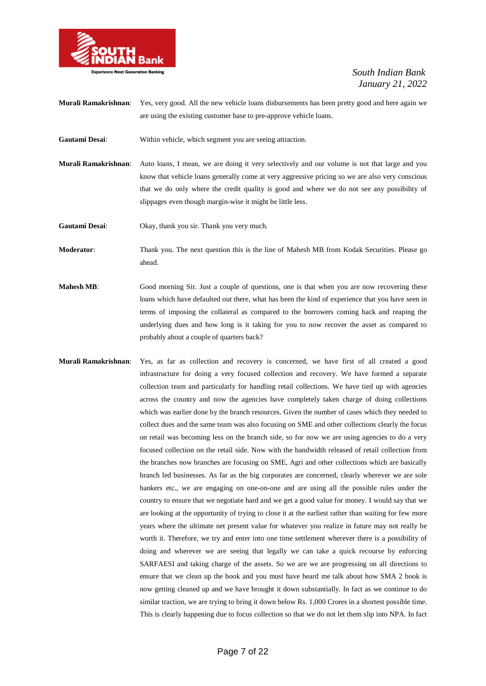

**Murali Ramakrishnan**: Yes, very good. All the new vehicle loans disbursements has been pretty good and here again we are using the existing customer base to pre-approve vehicle loans.

- **Gautami Desai**: Within vehicle, which segment you are seeing attraction.
- **Murali Ramakrishnan**: Auto loans, I mean, we are doing it very selectively and our volume is not that large and you know that vehicle loans generally come at very aggressive pricing so we are also very conscious that we do only where the credit quality is good and where we do not see any possibility of slippages even though margin-wise it might be little less.

**Gautami Desai**: Okay, thank you sir. Thank you very much.

**Moderator**: Thank you. The next question this is the line of Mahesh MB from Kodak Securities. Please go ahead.

- **Mahesh MB:** Good morning Sir. Just a couple of questions, one is that when you are now recovering these loans which have defaulted out there, what has been the kind of experience that you have seen in terms of imposing the collateral as compared to the borrowers coming back and reaping the underlying dues and how long is it taking for you to now recover the asset as compared to probably about a couple of quarters back?
- **Murali Ramakrishnan**: Yes, as far as collection and recovery is concerned, we have first of all created a good infrastructure for doing a very focused collection and recovery. We have formed a separate collection team and particularly for handling retail collections. We have tied up with agencies across the country and now the agencies have completely taken charge of doing collections which was earlier done by the branch resources. Given the number of cases which they needed to collect dues and the same team was also focusing on SME and other collections clearly the focus on retail was becoming less on the branch side, so for now we are using agencies to do a very focused collection on the retail side. Now with the bandwidth released of retail collection from the branches now branches are focusing on SME, Agri and other collections which are basically branch led businesses. As far as the big corporates are concerned, clearly wherever we are sole bankers etc., we are engaging on one-on-one and are using all the possible rules under the country to ensure that we negotiate hard and we get a good value for money. I would say that we are looking at the opportunity of trying to close it at the earliest rather than waiting for few more years where the ultimate net present value for whatever you realize in future may not really be worth it. Therefore, we try and enter into one time settlement wherever there is a possibility of doing and wherever we are seeing that legally we can take a quick recourse by enforcing SARFAESI and taking charge of the assets. So we are we are progressing on all directions to ensure that we clean up the book and you must have heard me talk about how SMA 2 book is now getting cleaned up and we have brought it down substantially. In fact as we continue to do similar traction, we are trying to bring it down below Rs. 1,000 Crores in a shortest possible time. This is clearly happening due to focus collection so that we do not let them slip into NPA. In fact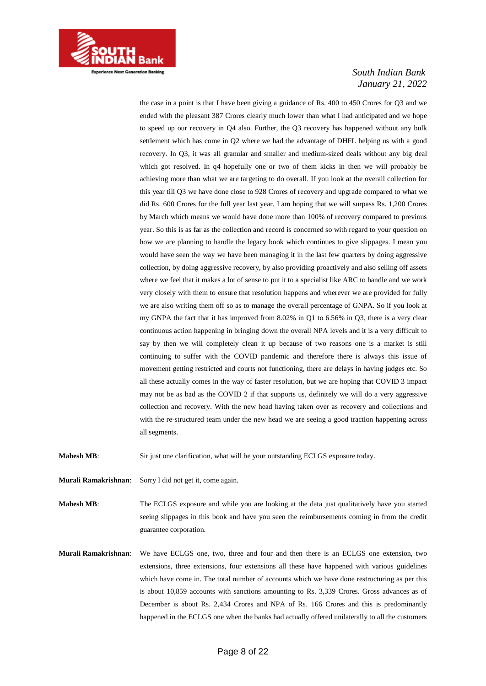

the case in a point is that I have been giving a guidance of Rs. 400 to 450 Crores for Q3 and we ended with the pleasant 387 Crores clearly much lower than what I had anticipated and we hope to speed up our recovery in Q4 also. Further, the Q3 recovery has happened without any bulk settlement which has come in Q2 where we had the advantage of DHFL helping us with a good recovery. In Q3, it was all granular and smaller and medium-sized deals without any big deal which got resolved. In q4 hopefully one or two of them kicks in then we will probably be achieving more than what we are targeting to do overall. If you look at the overall collection for this year till Q3 we have done close to 928 Crores of recovery and upgrade compared to what we did Rs. 600 Crores for the full year last year. I am hoping that we will surpass Rs. 1,200 Crores by March which means we would have done more than 100% of recovery compared to previous year. So this is as far as the collection and record is concerned so with regard to your question on how we are planning to handle the legacy book which continues to give slippages. I mean you would have seen the way we have been managing it in the last few quarters by doing aggressive collection, by doing aggressive recovery, by also providing proactively and also selling off assets where we feel that it makes a lot of sense to put it to a specialist like ARC to handle and we work very closely with them to ensure that resolution happens and wherever we are provided for fully we are also writing them off so as to manage the overall percentage of GNPA. So if you look at my GNPA the fact that it has improved from 8.02% in Q1 to 6.56% in Q3, there is a very clear continuous action happening in bringing down the overall NPA levels and it is a very difficult to say by then we will completely clean it up because of two reasons one is a market is still continuing to suffer with the COVID pandemic and therefore there is always this issue of movement getting restricted and courts not functioning, there are delays in having judges etc. So all these actually comes in the way of faster resolution, but we are hoping that COVID 3 impact may not be as bad as the COVID 2 if that supports us, definitely we will do a very aggressive collection and recovery. With the new head having taken over as recovery and collections and with the re-structured team under the new head we are seeing a good traction happening across all segments.

**Mahesh MB:** Sir just one clarification, what will be your outstanding ECLGS exposure today.

**Murali Ramakrishnan**: Sorry I did not get it, come again.

**Mahesh MB:** The ECLGS exposure and while you are looking at the data just qualitatively have you started seeing slippages in this book and have you seen the reimbursements coming in from the credit guarantee corporation.

**Murali Ramakrishnan**: We have ECLGS one, two, three and four and then there is an ECLGS one extension, two extensions, three extensions, four extensions all these have happened with various guidelines which have come in. The total number of accounts which we have done restructuring as per this is about 10,859 accounts with sanctions amounting to Rs. 3,339 Crores. Gross advances as of December is about Rs. 2,434 Crores and NPA of Rs. 166 Crores and this is predominantly happened in the ECLGS one when the banks had actually offered unilaterally to all the customers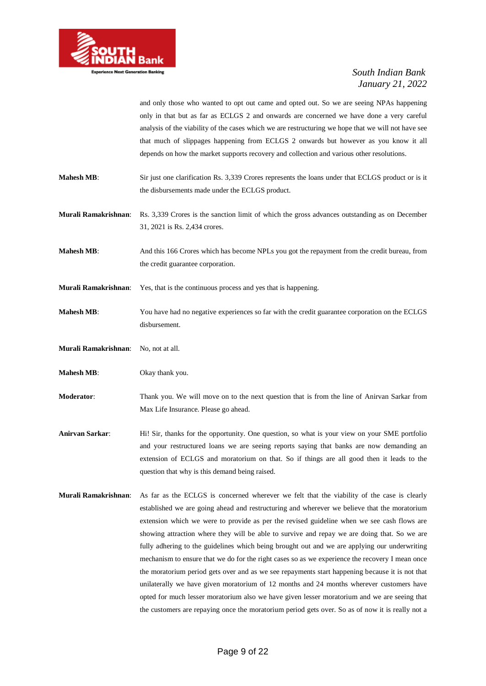

and only those who wanted to opt out came and opted out. So we are seeing NPAs happening only in that but as far as ECLGS 2 and onwards are concerned we have done a very careful analysis of the viability of the cases which we are restructuring we hope that we will not have see that much of slippages happening from ECLGS 2 onwards but however as you know it all depends on how the market supports recovery and collection and various other resolutions.

- **Mahesh MB:** Sir just one clarification Rs. 3,339 Crores represents the loans under that ECLGS product or is it the disbursements made under the ECLGS product.
- **Murali Ramakrishnan**: Rs. 3,339 Crores is the sanction limit of which the gross advances outstanding as on December 31, 2021 is Rs. 2,434 crores.
- **Mahesh MB:** And this 166 Crores which has become NPLs you got the repayment from the credit bureau, from the credit guarantee corporation.
- **Murali Ramakrishnan**: Yes, that is the continuous process and yes that is happening.
- **Mahesh MB**: You have had no negative experiences so far with the credit guarantee corporation on the ECLGS disbursement.
- **Murali Ramakrishnan**: No, not at all.
- **Mahesh MB:** Okay thank you.
- **Moderator**: Thank you. We will move on to the next question that is from the line of Anirvan Sarkar from Max Life Insurance. Please go ahead.
- **Anirvan Sarkar**: Hi! Sir, thanks for the opportunity. One question, so what is your view on your SME portfolio and your restructured loans we are seeing reports saying that banks are now demanding an extension of ECLGS and moratorium on that. So if things are all good then it leads to the question that why is this demand being raised.
- **Murali Ramakrishnan**: As far as the ECLGS is concerned wherever we felt that the viability of the case is clearly established we are going ahead and restructuring and wherever we believe that the moratorium extension which we were to provide as per the revised guideline when we see cash flows are showing attraction where they will be able to survive and repay we are doing that. So we are fully adhering to the guidelines which being brought out and we are applying our underwriting mechanism to ensure that we do for the right cases so as we experience the recovery I mean once the moratorium period gets over and as we see repayments start happening because it is not that unilaterally we have given moratorium of 12 months and 24 months wherever customers have opted for much lesser moratorium also we have given lesser moratorium and we are seeing that the customers are repaying once the moratorium period gets over. So as of now it is really not a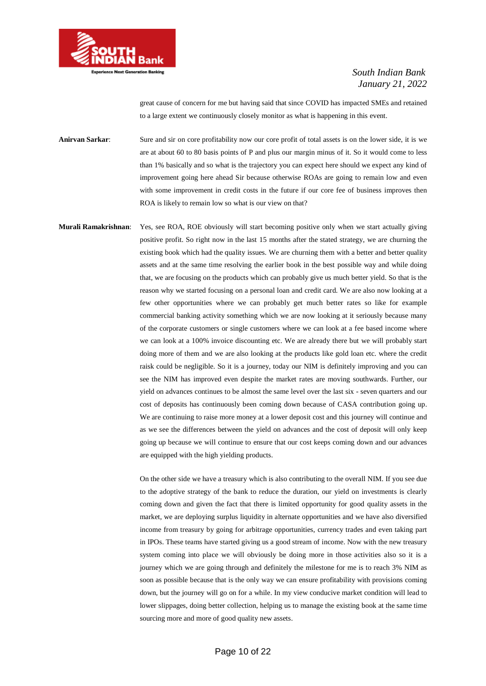

great cause of concern for me but having said that since COVID has impacted SMEs and retained to a large extent we continuously closely monitor as what is happening in this event.

**Anirvan Sarkar:** Sure and sir on core profitability now our core profit of total assets is on the lower side, it is we are at about 60 to 80 basis points of P and plus our margin minus of it. So it would come to less than 1% basically and so what is the trajectory you can expect here should we expect any kind of improvement going here ahead Sir because otherwise ROAs are going to remain low and even with some improvement in credit costs in the future if our core fee of business improves then ROA is likely to remain low so what is our view on that?

**Murali Ramakrishnan**: Yes, see ROA, ROE obviously will start becoming positive only when we start actually giving positive profit. So right now in the last 15 months after the stated strategy, we are churning the existing book which had the quality issues. We are churning them with a better and better quality assets and at the same time resolving the earlier book in the best possible way and while doing that, we are focusing on the products which can probably give us much better yield. So that is the reason why we started focusing on a personal loan and credit card. We are also now looking at a few other opportunities where we can probably get much better rates so like for example commercial banking activity something which we are now looking at it seriously because many of the corporate customers or single customers where we can look at a fee based income where we can look at a 100% invoice discounting etc. We are already there but we will probably start doing more of them and we are also looking at the products like gold loan etc. where the credit raisk could be negligible. So it is a journey, today our NIM is definitely improving and you can see the NIM has improved even despite the market rates are moving southwards. Further, our yield on advances continues to be almost the same level over the last six - seven quarters and our cost of deposits has continuously been coming down because of CASA contribution going up. We are continuing to raise more money at a lower deposit cost and this journey will continue and as we see the differences between the yield on advances and the cost of deposit will only keep going up because we will continue to ensure that our cost keeps coming down and our advances are equipped with the high yielding products.

> On the other side we have a treasury which is also contributing to the overall NIM. If you see due to the adoptive strategy of the bank to reduce the duration, our yield on investments is clearly coming down and given the fact that there is limited opportunity for good quality assets in the market, we are deploying surplus liquidity in alternate opportunities and we have also diversified income from treasury by going for arbitrage opportunities, currency trades and even taking part in IPOs. These teams have started giving us a good stream of income. Now with the new treasury system coming into place we will obviously be doing more in those activities also so it is a journey which we are going through and definitely the milestone for me is to reach 3% NIM as soon as possible because that is the only way we can ensure profitability with provisions coming down, but the journey will go on for a while. In my view conducive market condition will lead to lower slippages, doing better collection, helping us to manage the existing book at the same time sourcing more and more of good quality new assets.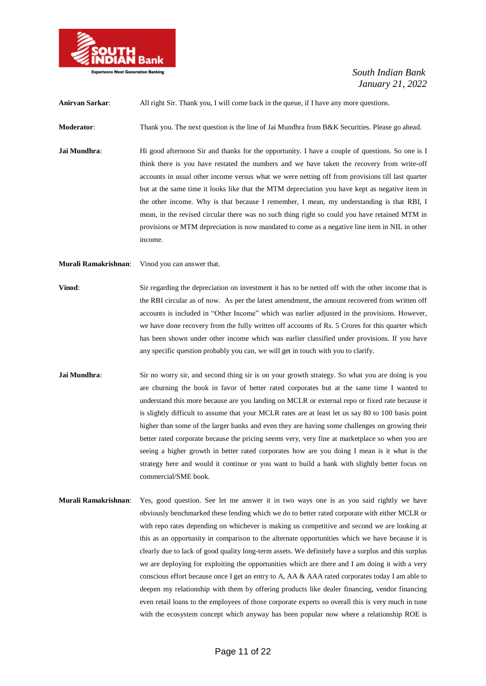

**Anirvan Sarkar**: All right Sir. Thank you, I will come back in the queue, if I have any more questions.

**Moderator:** Thank you. The next question is the line of Jai Mundhra from B&K Securities. Please go ahead.

**Jai Mundhra:** Hi good afternoon Sir and thanks for the opportunity. I have a couple of questions. So one is I think there is you have restated the numbers and we have taken the recovery from write-off accounts in usual other income versus what we were netting off from provisions till last quarter but at the same time it looks like that the MTM depreciation you have kept as negative item in the other income. Why is that because I remember, I mean, my understanding is that RBI, I mean, in the revised circular there was no such thing right so could you have retained MTM in provisions or MTM depreciation is now mandated to come as a negative line item in NIL in other income.

**Murali Ramakrishnan**: Vinod you can answer that.

- **Vinod:** Sir regarding the depreciation on investment it has to be netted off with the other income that is the RBI circular as of now. As per the latest amendment, the amount recovered from written off accounts is included in "Other Income" which was earlier adjusted in the provisions. However, we have done recovery from the fully written off accounts of Rs. 5 Crores for this quarter which has been shown under other income which was earlier classified under provisions. If you have any specific question probably you can, we will get in touch with you to clarify.
- **Jai Mundhra:** Sir no worry sir, and second thing sir is on your growth strategy. So what you are doing is you are churning the book in favor of better rated corporates but at the same time I wanted to understand this more because are you landing on MCLR or external repo or fixed rate because it is slightly difficult to assume that your MCLR rates are at least let us say 80 to 100 basis point higher than some of the larger banks and even they are having some challenges on growing their better rated corporate because the pricing seems very, very fine at marketplace so when you are seeing a higher growth in better rated corporates how are you doing I mean is it what is the strategy here and would it continue or you want to build a bank with slightly better focus on commercial/SME book.
- **Murali Ramakrishnan**: Yes, good question. See let me answer it in two ways one is as you said rightly we have obviously benchmarked these lending which we do to better rated corporate with either MCLR or with repo rates depending on whichever is making us competitive and second we are looking at this as an opportunity in comparison to the alternate opportunities which we have because it is clearly due to lack of good quality long-term assets. We definitely have a surplus and this surplus we are deploying for exploiting the opportunities which are there and I am doing it with a very conscious effort because once I get an entry to A, AA & AAA rated corporates today I am able to deepen my relationship with them by offering products like dealer financing, vendor financing even retail loans to the employees of those corporate experts so overall this is very much in tune with the ecosystem concept which anyway has been popular now where a relationship ROE is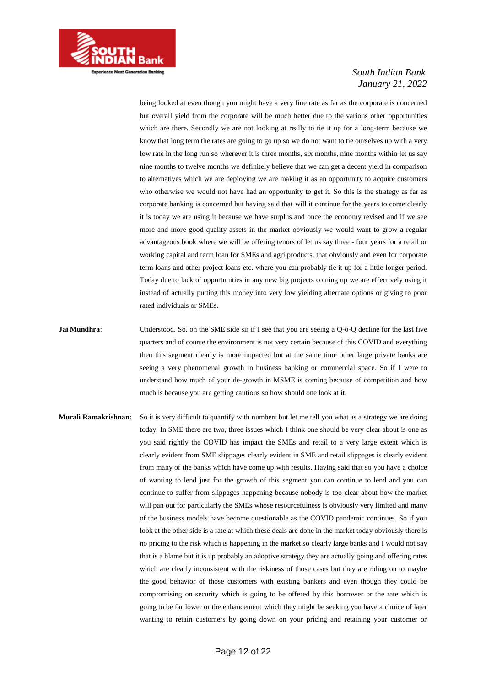

being looked at even though you might have a very fine rate as far as the corporate is concerned but overall yield from the corporate will be much better due to the various other opportunities which are there. Secondly we are not looking at really to tie it up for a long-term because we know that long term the rates are going to go up so we do not want to tie ourselves up with a very low rate in the long run so wherever it is three months, six months, nine months within let us say nine months to twelve months we definitely believe that we can get a decent yield in comparison to alternatives which we are deploying we are making it as an opportunity to acquire customers who otherwise we would not have had an opportunity to get it. So this is the strategy as far as corporate banking is concerned but having said that will it continue for the years to come clearly it is today we are using it because we have surplus and once the economy revised and if we see more and more good quality assets in the market obviously we would want to grow a regular advantageous book where we will be offering tenors of let us say three - four years for a retail or working capital and term loan for SMEs and agri products, that obviously and even for corporate term loans and other project loans etc. where you can probably tie it up for a little longer period. Today due to lack of opportunities in any new big projects coming up we are effectively using it instead of actually putting this money into very low yielding alternate options or giving to poor rated individuals or SMEs.

- **Jai Mundhra:** Understood. So, on the SME side sir if I see that you are seeing a Q-o-Q decline for the last five quarters and of course the environment is not very certain because of this COVID and everything then this segment clearly is more impacted but at the same time other large private banks are seeing a very phenomenal growth in business banking or commercial space. So if I were to understand how much of your de-growth in MSME is coming because of competition and how much is because you are getting cautious so how should one look at it.
- **Murali Ramakrishnan**: So it is very difficult to quantify with numbers but let me tell you what as a strategy we are doing today. In SME there are two, three issues which I think one should be very clear about is one as you said rightly the COVID has impact the SMEs and retail to a very large extent which is clearly evident from SME slippages clearly evident in SME and retail slippages is clearly evident from many of the banks which have come up with results. Having said that so you have a choice of wanting to lend just for the growth of this segment you can continue to lend and you can continue to suffer from slippages happening because nobody is too clear about how the market will pan out for particularly the SMEs whose resourcefulness is obviously very limited and many of the business models have become questionable as the COVID pandemic continues. So if you look at the other side is a rate at which these deals are done in the market today obviously there is no pricing to the risk which is happening in the market so clearly large banks and I would not say that is a blame but it is up probably an adoptive strategy they are actually going and offering rates which are clearly inconsistent with the riskiness of those cases but they are riding on to maybe the good behavior of those customers with existing bankers and even though they could be compromising on security which is going to be offered by this borrower or the rate which is going to be far lower or the enhancement which they might be seeking you have a choice of later wanting to retain customers by going down on your pricing and retaining your customer or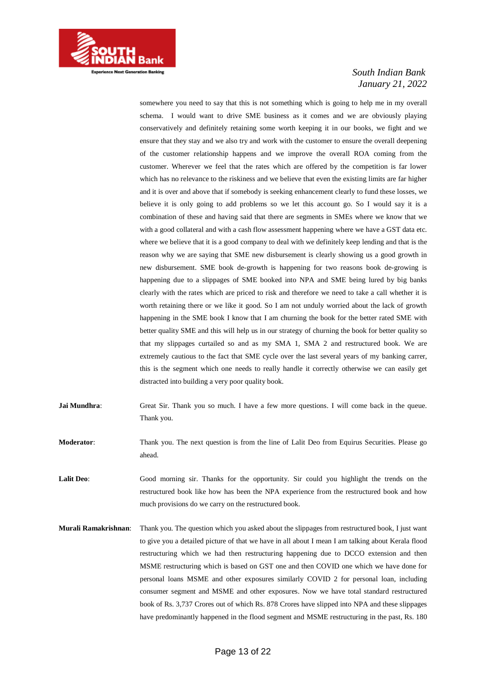

somewhere you need to say that this is not something which is going to help me in my overall schema. I would want to drive SME business as it comes and we are obviously playing conservatively and definitely retaining some worth keeping it in our books, we fight and we ensure that they stay and we also try and work with the customer to ensure the overall deepening of the customer relationship happens and we improve the overall ROA coming from the customer. Wherever we feel that the rates which are offered by the competition is far lower which has no relevance to the riskiness and we believe that even the existing limits are far higher and it is over and above that if somebody is seeking enhancement clearly to fund these losses, we believe it is only going to add problems so we let this account go. So I would say it is a combination of these and having said that there are segments in SMEs where we know that we with a good collateral and with a cash flow assessment happening where we have a GST data etc. where we believe that it is a good company to deal with we definitely keep lending and that is the reason why we are saying that SME new disbursement is clearly showing us a good growth in new disbursement. SME book de-growth is happening for two reasons book de-growing is happening due to a slippages of SME booked into NPA and SME being lured by big banks clearly with the rates which are priced to risk and therefore we need to take a call whether it is worth retaining there or we like it good. So I am not unduly worried about the lack of growth happening in the SME book I know that I am churning the book for the better rated SME with better quality SME and this will help us in our strategy of churning the book for better quality so that my slippages curtailed so and as my SMA 1, SMA 2 and restructured book. We are extremely cautious to the fact that SME cycle over the last several years of my banking carrer, this is the segment which one needs to really handle it correctly otherwise we can easily get distracted into building a very poor quality book.

- **Jai Mundhra:** Great Sir. Thank you so much. I have a few more questions. I will come back in the queue. Thank you.
- **Moderator**: Thank you. The next question is from the line of Lalit Deo from Equirus Securities. Please go ahead.
- **Lalit Deo**: Good morning sir. Thanks for the opportunity. Sir could you highlight the trends on the restructured book like how has been the NPA experience from the restructured book and how much provisions do we carry on the restructured book.
- **Murali Ramakrishnan**: Thank you. The question which you asked about the slippages from restructured book, I just want to give you a detailed picture of that we have in all about I mean I am talking about Kerala flood restructuring which we had then restructuring happening due to DCCO extension and then MSME restructuring which is based on GST one and then COVID one which we have done for personal loans MSME and other exposures similarly COVID 2 for personal loan, including consumer segment and MSME and other exposures. Now we have total standard restructured book of Rs. 3,737 Crores out of which Rs. 878 Crores have slipped into NPA and these slippages have predominantly happened in the flood segment and MSME restructuring in the past, Rs. 180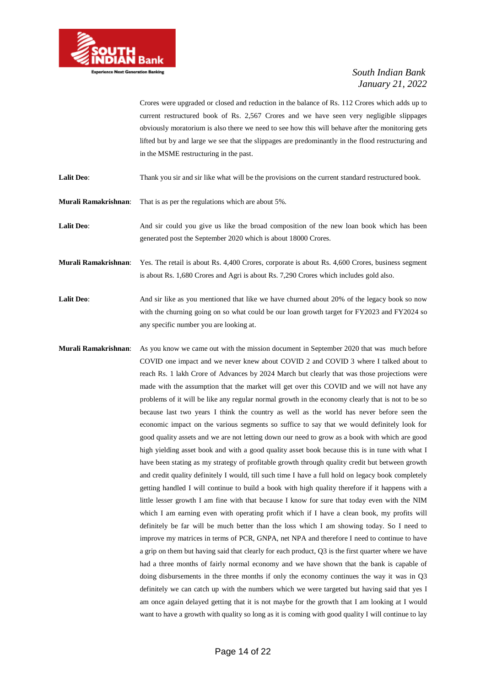

Crores were upgraded or closed and reduction in the balance of Rs. 112 Crores which adds up to current restructured book of Rs. 2,567 Crores and we have seen very negligible slippages obviously moratorium is also there we need to see how this will behave after the monitoring gets lifted but by and large we see that the slippages are predominantly in the flood restructuring and in the MSME restructuring in the past.

- Lalit Deo: Thank you sir and sir like what will be the provisions on the current standard restructured book.
- **Murali Ramakrishnan**: That is as per the regulations which are about 5%.
- Lalit Deo: And sir could you give us like the broad composition of the new loan book which has been generated post the September 2020 which is about 18000 Crores.
- **Murali Ramakrishnan**: Yes. The retail is about Rs. 4,400 Crores, corporate is about Rs. 4,600 Crores, business segment is about Rs. 1,680 Crores and Agri is about Rs. 7,290 Crores which includes gold also.
- **Lalit Deo:** And sir like as you mentioned that like we have churned about 20% of the legacy book so now with the churning going on so what could be our loan growth target for FY2023 and FY2024 so any specific number you are looking at.
- **Murali Ramakrishnan**: As you know we came out with the mission document in September 2020 that was much before COVID one impact and we never knew about COVID 2 and COVID 3 where I talked about to reach Rs. 1 lakh Crore of Advances by 2024 March but clearly that was those projections were made with the assumption that the market will get over this COVID and we will not have any problems of it will be like any regular normal growth in the economy clearly that is not to be so because last two years I think the country as well as the world has never before seen the economic impact on the various segments so suffice to say that we would definitely look for good quality assets and we are not letting down our need to grow as a book with which are good high yielding asset book and with a good quality asset book because this is in tune with what I have been stating as my strategy of profitable growth through quality credit but between growth and credit quality definitely I would, till such time I have a full hold on legacy book completely getting handled I will continue to build a book with high quality therefore if it happens with a little lesser growth I am fine with that because I know for sure that today even with the NIM which I am earning even with operating profit which if I have a clean book, my profits will definitely be far will be much better than the loss which I am showing today. So I need to improve my matrices in terms of PCR, GNPA, net NPA and therefore I need to continue to have a grip on them but having said that clearly for each product, Q3 is the first quarter where we have had a three months of fairly normal economy and we have shown that the bank is capable of doing disbursements in the three months if only the economy continues the way it was in Q3 definitely we can catch up with the numbers which we were targeted but having said that yes I am once again delayed getting that it is not maybe for the growth that I am looking at I would want to have a growth with quality so long as it is coming with good quality I will continue to lay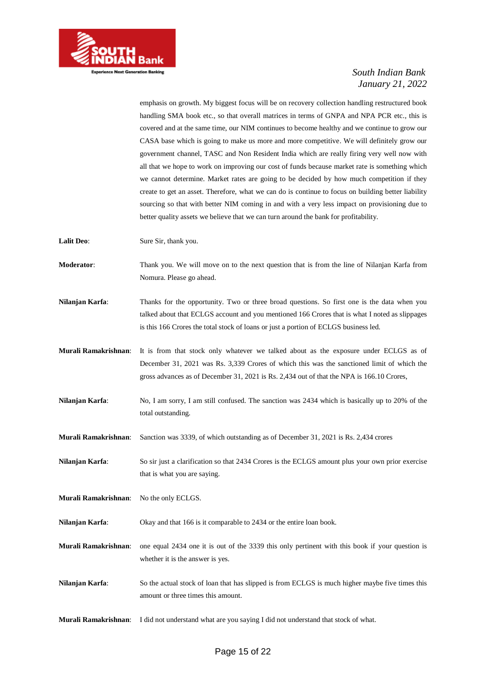

emphasis on growth. My biggest focus will be on recovery collection handling restructured book handling SMA book etc., so that overall matrices in terms of GNPA and NPA PCR etc., this is covered and at the same time, our NIM continues to become healthy and we continue to grow our CASA base which is going to make us more and more competitive. We will definitely grow our government channel, TASC and Non Resident India which are really firing very well now with all that we hope to work on improving our cost of funds because market rate is something which we cannot determine. Market rates are going to be decided by how much competition if they create to get an asset. Therefore, what we can do is continue to focus on building better liability sourcing so that with better NIM coming in and with a very less impact on provisioning due to better quality assets we believe that we can turn around the bank for profitability.

**Lalit Deo:** Sure Sir, thank you.

**Moderator**: Thank you. We will move on to the next question that is from the line of Nilanjan Karfa from Nomura. Please go ahead.

**Nilanjan Karfa:** Thanks for the opportunity. Two or three broad questions. So first one is the data when you talked about that ECLGS account and you mentioned 166 Crores that is what I noted as slippages is this 166 Crores the total stock of loans or just a portion of ECLGS business led.

**Murali Ramakrishnan**: It is from that stock only whatever we talked about as the exposure under ECLGS as of December 31, 2021 was Rs. 3,339 Crores of which this was the sanctioned limit of which the gross advances as of December 31, 2021 is Rs. 2,434 out of that the NPA is 166.10 Crores,

**Nilanjan Karfa:** No, I am sorry, I am still confused. The sanction was 2434 which is basically up to 20% of the total outstanding.

**Murali Ramakrishnan**: Sanction was 3339, of which outstanding as of December 31, 2021 is Rs. 2,434 crores

**Nilanjan Karfa:** So sir just a clarification so that 2434 Crores is the ECLGS amount plus your own prior exercise that is what you are saying.

**Murali Ramakrishnan**: No the only ECLGS.

**Nilanjan Karfa**: Okay and that 166 is it comparable to 2434 or the entire loan book.

**Murali Ramakrishnan**: one equal 2434 one it is out of the 3339 this only pertinent with this book if your question is whether it is the answer is yes.

**Nilanjan Karfa**: So the actual stock of loan that has slipped is from ECLGS is much higher maybe five times this amount or three times this amount.

**Murali Ramakrishnan**: I did not understand what are you saying I did not understand that stock of what.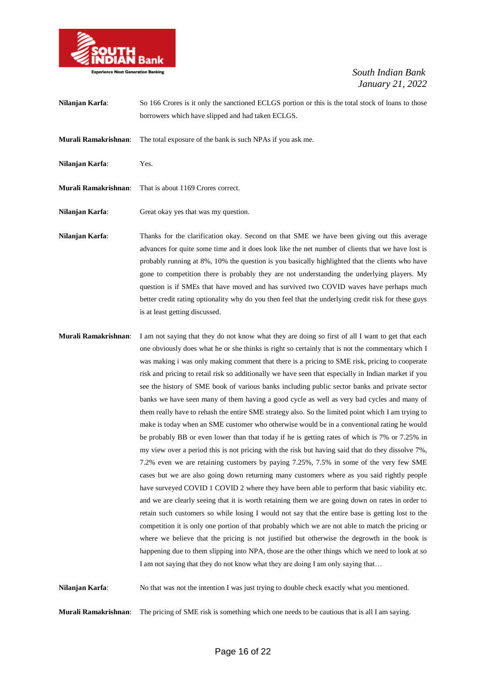

| Nilanjan Karfa:      | So 166 Crores is it only the sanctioned ECLGS portion or this is the total stock of loans to those<br>borrowers which have slipped and had taken ECLGS.                                                                                                                                                                                                                                                                                                                                                                                                                                                                                                                                                                                                                                                              |
|----------------------|----------------------------------------------------------------------------------------------------------------------------------------------------------------------------------------------------------------------------------------------------------------------------------------------------------------------------------------------------------------------------------------------------------------------------------------------------------------------------------------------------------------------------------------------------------------------------------------------------------------------------------------------------------------------------------------------------------------------------------------------------------------------------------------------------------------------|
| Murali Ramakrishnan: | The total exposure of the bank is such NPAs if you ask me.                                                                                                                                                                                                                                                                                                                                                                                                                                                                                                                                                                                                                                                                                                                                                           |
| Nilanjan Karfa:      | Yes.                                                                                                                                                                                                                                                                                                                                                                                                                                                                                                                                                                                                                                                                                                                                                                                                                 |
| Murali Ramakrishnan: | That is about 1169 Crores correct.                                                                                                                                                                                                                                                                                                                                                                                                                                                                                                                                                                                                                                                                                                                                                                                   |
| Nilanjan Karfa:      | Great okay yes that was my question.                                                                                                                                                                                                                                                                                                                                                                                                                                                                                                                                                                                                                                                                                                                                                                                 |
| Nilanjan Karfa:      | Thanks for the clarification okay. Second on that SME we have been giving out this average<br>advances for quite some time and it does look like the net number of clients that we have lost is<br>probably running at 8%, 10% the question is you basically highlighted that the clients who have<br>gone to competition there is probably they are not understanding the underlying players. My<br>question is if SMEs that have moved and has survived two COVID waves have perhaps much<br>better credit rating optionality why do you then feel that the underlying credit risk for these guys<br>is at least getting discussed.                                                                                                                                                                                |
| Murali Ramakrishnan: | I am not saying that they do not know what they are doing so first of all I want to get that each<br>one obviously does what he or she thinks is right so certainly that is not the commentary which I<br>was making i was only making comment that there is a pricing to SME risk, pricing to cooperate<br>risk and pricing to retail risk so additionally we have seen that especially in Indian market if you<br>see the history of SME book of various banks including public sector banks and private sector<br>banks we have seen many of them having a good cycle as well as very bad cycles and many of<br>them really have to rehash the entire SME strategy also. So the limited point which I am trying to<br>make is today when an SME customer who otherwise would be in a conventional rating be would |

make is today when an SME customer who otherwise would be in a conventional rating he would be probably BB or even lower than that today if he is getting rates of which is 7% or 7.25% in my view over a period this is not pricing with the risk but having said that do they dissolve 7%, 7.2% even we are retaining customers by paying 7.25%, 7.5% in some of the very few SME cases but we are also going down returning many customers where as you said rightly people have surveyed COVID 1 COVID 2 where they have been able to perform that basic viability etc. and we are clearly seeing that it is worth retaining them we are going down on rates in order to retain such customers so while losing I would not say that the entire base is getting lost to the competition it is only one portion of that probably which we are not able to match the pricing or where we believe that the pricing is not justified but otherwise the degrowth in the book is happening due to them slipping into NPA, those are the other things which we need to look at so I am not saying that they do not know what they are doing I am only saying that…

**Nilanjan Karfa:** No that was not the intention I was just trying to double check exactly what you mentioned.

**Murali Ramakrishnan**: The pricing of SME risk is something which one needs to be cautious that is all I am saying.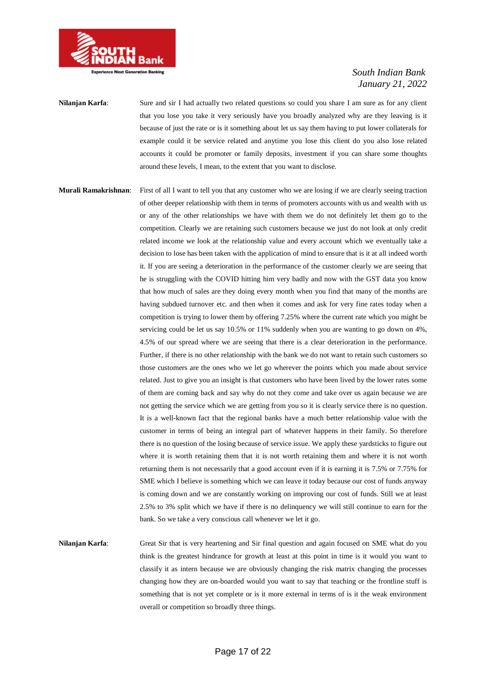

**Nilanjan Karfa:** Sure and sir I had actually two related questions so could you share I am sure as for any client that you lose you take it very seriously have you broadly analyzed why are they leaving is it because of just the rate or is it something about let us say them having to put lower collaterals for example could it be service related and anytime you lose this client do you also lose related accounts it could be promoter or family deposits, investment if you can share some thoughts around these levels, I mean, to the extent that you want to disclose.

**Murali Ramakrishnan**: First of all I want to tell you that any customer who we are losing if we are clearly seeing traction of other deeper relationship with them in terms of promoters accounts with us and wealth with us or any of the other relationships we have with them we do not definitely let them go to the competition. Clearly we are retaining such customers because we just do not look at only credit related income we look at the relationship value and every account which we eventually take a decision to lose has been taken with the application of mind to ensure that is it at all indeed worth it. If you are seeing a deterioration in the performance of the customer clearly we are seeing that he is struggling with the COVID hitting him very badly and now with the GST data you know that how much of sales are they doing every month when you find that many of the months are having subdued turnover etc. and then when it comes and ask for very fine rates today when a competition is trying to lower them by offering 7.25% where the current rate which you might be servicing could be let us say 10.5% or 11% suddenly when you are wanting to go down on 4%, 4.5% of our spread where we are seeing that there is a clear deterioration in the performance. Further, if there is no other relationship with the bank we do not want to retain such customers so those customers are the ones who we let go wherever the points which you made about service related. Just to give you an insight is that customers who have been lived by the lower rates some of them are coming back and say why do not they come and take over us again because we are not getting the service which we are getting from you so it is clearly service there is no question. It is a well-known fact that the regional banks have a much better relationship value with the customer in terms of being an integral part of whatever happens in their family. So therefore there is no question of the losing because of service issue. We apply these yardsticks to figure out where it is worth retaining them that it is not worth retaining them and where it is not worth returning them is not necessarily that a good account even if it is earning it is 7.5% or 7.75% for SME which I believe is something which we can leave it today because our cost of funds anyway is coming down and we are constantly working on improving our cost of funds. Still we at least 2.5% to 3% split which we have if there is no delinquency we will still continue to earn for the bank. So we take a very conscious call whenever we let it go.

**Nilanjan Karfa**: Great Sir that is very heartening and Sir final question and again focused on SME what do you think is the greatest hindrance for growth at least at this point in time is it would you want to classify it as intern because we are obviously changing the risk matrix changing the processes changing how they are on-boarded would you want to say that teaching or the frontline stuff is something that is not yet complete or is it more external in terms of is it the weak environment overall or competition so broadly three things.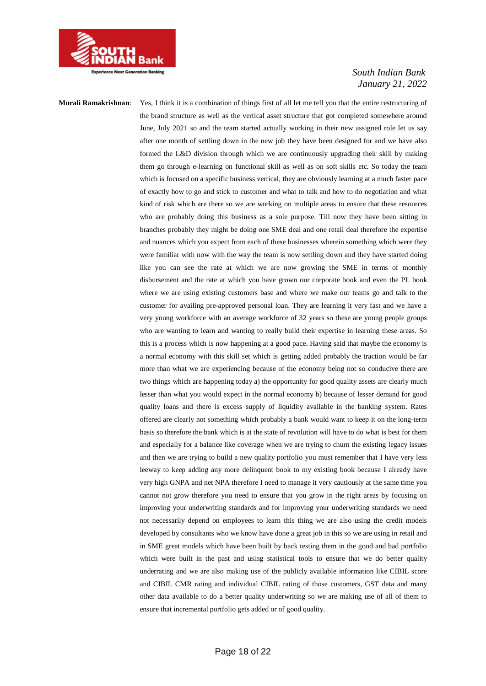

**Murali Ramakrishnan**: Yes, I think it is a combination of things first of all let me tell you that the entire restructuring of the brand structure as well as the vertical asset structure that got completed somewhere around June, July 2021 so and the team started actually working in their new assigned role let us say after one month of settling down in the new job they have been designed for and we have also formed the L&D division through which we are continuously upgrading their skill by making them go through e-learning on functional skill as well as on soft skills etc. So today the team which is focused on a specific business vertical, they are obviously learning at a much faster pace of exactly how to go and stick to customer and what to talk and how to do negotiation and what kind of risk which are there so we are working on multiple areas to ensure that these resources who are probably doing this business as a sole purpose. Till now they have been sitting in branches probably they might be doing one SME deal and one retail deal therefore the expertise and nuances which you expect from each of these businesses wherein something which were they were familiar with now with the way the team is now settling down and they have started doing like you can see the rate at which we are now growing the SME in terms of monthly disbursement and the rate at which you have grown our corporate book and even the PL book where we are using existing customers base and where we make our teams go and talk to the customer for availing pre-approved personal loan. They are learning it very fast and we have a very young workforce with an average workforce of 32 years so these are young people groups who are wanting to learn and wanting to really build their expertise in learning these areas. So this is a process which is now happening at a good pace. Having said that maybe the economy is a normal economy with this skill set which is getting added probably the traction would be far more than what we are experiencing because of the economy being not so conducive there are two things which are happening today a) the opportunity for good quality assets are clearly much lesser than what you would expect in the normal economy b) because of lesser demand for good quality loans and there is excess supply of liquidity available in the banking system. Rates offered are clearly not something which probably a bank would want to keep it on the long-term basis so therefore the bank which is at the state of revolution will have to do what is best for them and especially for a balance like coverage when we are trying to churn the existing legacy issues and then we are trying to build a new quality portfolio you must remember that I have very less leeway to keep adding any more delinquent book to my existing book because I already have very high GNPA and net NPA therefore I need to manage it very cautiously at the same time you cannot not grow therefore you need to ensure that you grow in the right areas by focusing on improving your underwriting standards and for improving your underwriting standards we need not necessarily depend on employees to learn this thing we are also using the credit models developed by consultants who we know have done a great job in this so we are using in retail and in SME great models which have been built by back testing them in the good and bad portfolio which were built in the past and using statistical tools to ensure that we do better quality underrating and we are also making use of the publicly available information like CIBIL score and CIBIL CMR rating and individual CIBIL rating of those customers, GST data and many other data available to do a better quality underwriting so we are making use of all of them to ensure that incremental portfolio gets added or of good quality.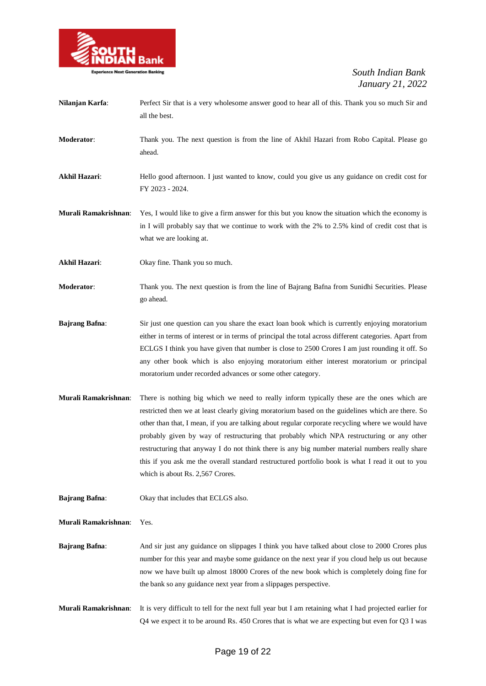

| Nilanjan Karfa:       | Perfect Sir that is a very wholesome answer good to hear all of this. Thank you so much Sir and<br>all the best.                                                                                                                                                                                                                                                                                                                                                                                                                                                                                                                            |
|-----------------------|---------------------------------------------------------------------------------------------------------------------------------------------------------------------------------------------------------------------------------------------------------------------------------------------------------------------------------------------------------------------------------------------------------------------------------------------------------------------------------------------------------------------------------------------------------------------------------------------------------------------------------------------|
| Moderator:            | Thank you. The next question is from the line of Akhil Hazari from Robo Capital. Please go<br>ahead.                                                                                                                                                                                                                                                                                                                                                                                                                                                                                                                                        |
| <b>Akhil Hazari:</b>  | Hello good afternoon. I just wanted to know, could you give us any guidance on credit cost for<br>FY 2023 - 2024.                                                                                                                                                                                                                                                                                                                                                                                                                                                                                                                           |
| Murali Ramakrishnan:  | Yes, I would like to give a firm answer for this but you know the situation which the economy is<br>in I will probably say that we continue to work with the 2% to 2.5% kind of credit cost that is<br>what we are looking at.                                                                                                                                                                                                                                                                                                                                                                                                              |
| <b>Akhil Hazari:</b>  | Okay fine. Thank you so much.                                                                                                                                                                                                                                                                                                                                                                                                                                                                                                                                                                                                               |
| Moderator:            | Thank you. The next question is from the line of Bajrang Bafna from Sunidhi Securities. Please<br>go ahead.                                                                                                                                                                                                                                                                                                                                                                                                                                                                                                                                 |
| <b>Bajrang Bafna:</b> | Sir just one question can you share the exact loan book which is currently enjoying moratorium<br>either in terms of interest or in terms of principal the total across different categories. Apart from<br>ECLGS I think you have given that number is close to 2500 Crores I am just rounding it off. So<br>any other book which is also enjoying moratorium either interest moratorium or principal<br>moratorium under recorded advances or some other category.                                                                                                                                                                        |
| Murali Ramakrishnan:  | There is nothing big which we need to really inform typically these are the ones which are<br>restricted then we at least clearly giving moratorium based on the guidelines which are there. So<br>other than that, I mean, if you are talking about regular corporate recycling where we would have<br>probably given by way of restructuring that probably which NPA restructuring or any other<br>restructuring that anyway I do not think there is any big number material numbers really share<br>this if you ask me the overall standard restructured portfolio book is what I read it out to you<br>which is about Rs. 2,567 Crores. |
| <b>Bajrang Bafna:</b> | Okay that includes that ECLGS also.                                                                                                                                                                                                                                                                                                                                                                                                                                                                                                                                                                                                         |
| Murali Ramakrishnan:  | Yes.                                                                                                                                                                                                                                                                                                                                                                                                                                                                                                                                                                                                                                        |
| <b>Bajrang Bafna:</b> | And sir just any guidance on slippages I think you have talked about close to 2000 Crores plus<br>number for this year and maybe some guidance on the next year if you cloud help us out because<br>now we have built up almost 18000 Crores of the new book which is completely doing fine for<br>the bank so any guidance next year from a slippages perspective.                                                                                                                                                                                                                                                                         |

**Murali Ramakrishnan**: It is very difficult to tell for the next full year but I am retaining what I had projected earlier for Q4 we expect it to be around Rs. 450 Crores that is what we are expecting but even for Q3 I was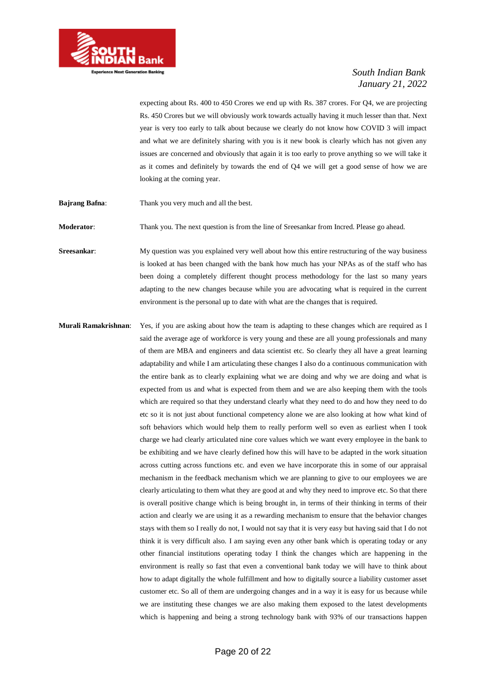

expecting about Rs. 400 to 450 Crores we end up with Rs. 387 crores. For Q4, we are projecting Rs. 450 Crores but we will obviously work towards actually having it much lesser than that. Next year is very too early to talk about because we clearly do not know how COVID 3 will impact and what we are definitely sharing with you is it new book is clearly which has not given any issues are concerned and obviously that again it is too early to prove anything so we will take it as it comes and definitely by towards the end of Q4 we will get a good sense of how we are looking at the coming year.

**Bajrang Bafna:** Thank you very much and all the best.

**Moderator**: Thank you. The next question is from the line of Sreesankar from Incred. Please go ahead.

**Sreesankar:** My question was you explained very well about how this entire restructuring of the way business is looked at has been changed with the bank how much has your NPAs as of the staff who has been doing a completely different thought process methodology for the last so many years adapting to the new changes because while you are advocating what is required in the current environment is the personal up to date with what are the changes that is required.

**Murali Ramakrishnan**: Yes, if you are asking about how the team is adapting to these changes which are required as I said the average age of workforce is very young and these are all young professionals and many of them are MBA and engineers and data scientist etc. So clearly they all have a great learning adaptability and while I am articulating these changes I also do a continuous communication with the entire bank as to clearly explaining what we are doing and why we are doing and what is expected from us and what is expected from them and we are also keeping them with the tools which are required so that they understand clearly what they need to do and how they need to do etc so it is not just about functional competency alone we are also looking at how what kind of soft behaviors which would help them to really perform well so even as earliest when I took charge we had clearly articulated nine core values which we want every employee in the bank to be exhibiting and we have clearly defined how this will have to be adapted in the work situation across cutting across functions etc. and even we have incorporate this in some of our appraisal mechanism in the feedback mechanism which we are planning to give to our employees we are clearly articulating to them what they are good at and why they need to improve etc. So that there is overall positive change which is being brought in, in terms of their thinking in terms of their action and clearly we are using it as a rewarding mechanism to ensure that the behavior changes stays with them so I really do not, I would not say that it is very easy but having said that I do not think it is very difficult also. I am saying even any other bank which is operating today or any other financial institutions operating today I think the changes which are happening in the environment is really so fast that even a conventional bank today we will have to think about how to adapt digitally the whole fulfillment and how to digitally source a liability customer asset customer etc. So all of them are undergoing changes and in a way it is easy for us because while we are instituting these changes we are also making them exposed to the latest developments which is happening and being a strong technology bank with 93% of our transactions happen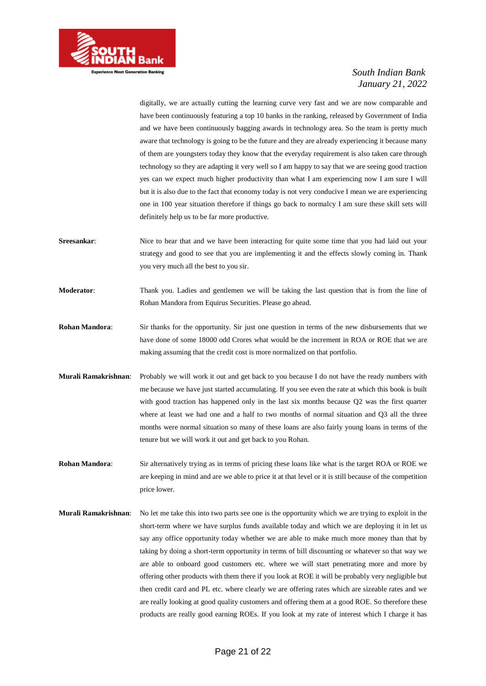

digitally, we are actually cutting the learning curve very fast and we are now comparable and have been continuously featuring a top 10 banks in the ranking, released by Government of India and we have been continuously bagging awards in technology area. So the team is pretty much aware that technology is going to be the future and they are already experiencing it because many of them are youngsters today they know that the everyday requirement is also taken care through technology so they are adapting it very well so I am happy to say that we are seeing good traction yes can we expect much higher productivity than what I am experiencing now I am sure I will but it is also due to the fact that economy today is not very conducive I mean we are experiencing one in 100 year situation therefore if things go back to normalcy I am sure these skill sets will definitely help us to be far more productive.

- **Sreesankar:** Nice to hear that and we have been interacting for quite some time that you had laid out your strategy and good to see that you are implementing it and the effects slowly coming in. Thank you very much all the best to you sir.
- **Moderator:** Thank you. Ladies and gentlemen we will be taking the last question that is from the line of Rohan Mandora from Equirus Securities. Please go ahead.

**Rohan Mandora**: Sir thanks for the opportunity. Sir just one question in terms of the new disbursements that we have done of some 18000 odd Crores what would be the increment in ROA or ROE that we are making assuming that the credit cost is more normalized on that portfolio.

- **Murali Ramakrishnan**: Probably we will work it out and get back to you because I do not have the ready numbers with me because we have just started accumulating. If you see even the rate at which this book is built with good traction has happened only in the last six months because Q2 was the first quarter where at least we had one and a half to two months of normal situation and Q3 all the three months were normal situation so many of these loans are also fairly young loans in terms of the tenure but we will work it out and get back to you Rohan.
- **Rohan Mandora**: Sir alternatively trying as in terms of pricing these loans like what is the target ROA or ROE we are keeping in mind and are we able to price it at that level or it is still because of the competition price lower.
- **Murali Ramakrishnan**: No let me take this into two parts see one is the opportunity which we are trying to exploit in the short-term where we have surplus funds available today and which we are deploying it in let us say any office opportunity today whether we are able to make much more money than that by taking by doing a short-term opportunity in terms of bill discounting or whatever so that way we are able to onboard good customers etc. where we will start penetrating more and more by offering other products with them there if you look at ROE it will be probably very negligible but then credit card and PL etc. where clearly we are offering rates which are sizeable rates and we are really looking at good quality customers and offering them at a good ROE. So therefore these products are really good earning ROEs. If you look at my rate of interest which I charge it has